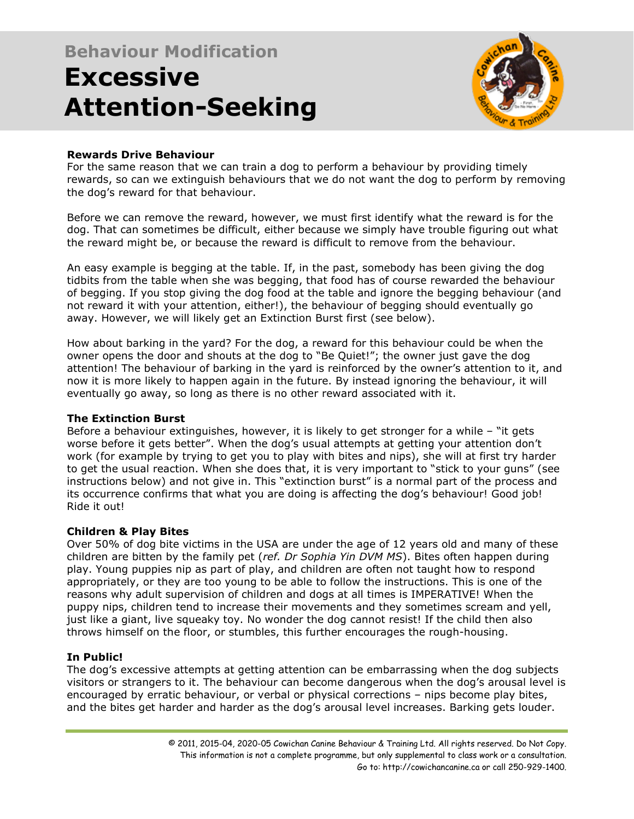# **Behaviour Modification Excessive Attention-Seeking**



#### **Rewards Drive Behaviour**

For the same reason that we can train a dog to perform a behaviour by providing timely rewards, so can we extinguish behaviours that we do not want the dog to perform by removing the dog's reward for that behaviour.

Before we can remove the reward, however, we must first identify what the reward is for the dog. That can sometimes be difficult, either because we simply have trouble figuring out what the reward might be, or because the reward is difficult to remove from the behaviour.

An easy example is begging at the table. If, in the past, somebody has been giving the dog tidbits from the table when she was begging, that food has of course rewarded the behaviour of begging. If you stop giving the dog food at the table and ignore the begging behaviour (and not reward it with your attention, either!), the behaviour of begging should eventually go away. However, we will likely get an Extinction Burst first (see below).

How about barking in the yard? For the dog, a reward for this behaviour could be when the owner opens the door and shouts at the dog to "Be Quiet!"; the owner just gave the dog attention! The behaviour of barking in the yard is reinforced by the owner's attention to it, and now it is more likely to happen again in the future. By instead ignoring the behaviour, it will eventually go away, so long as there is no other reward associated with it.

#### **The Extinction Burst**

Before a behaviour extinguishes, however, it is likely to get stronger for a while – "it gets worse before it gets better". When the dog's usual attempts at getting your attention don't work (for example by trying to get you to play with bites and nips), she will at first try harder to get the usual reaction. When she does that, it is very important to "stick to your guns" (see instructions below) and not give in. This "extinction burst" is a normal part of the process and its occurrence confirms that what you are doing is affecting the dog's behaviour! Good job! Ride it out!

#### **Children & Play Bites**

Over 50% of dog bite victims in the USA are under the age of 12 years old and many of these children are bitten by the family pet (*ref. Dr Sophia Yin DVM MS*). Bites often happen during play. Young puppies nip as part of play, and children are often not taught how to respond appropriately, or they are too young to be able to follow the instructions. This is one of the reasons why adult supervision of children and dogs at all times is IMPERATIVE! When the puppy nips, children tend to increase their movements and they sometimes scream and yell, just like a giant, live squeaky toy. No wonder the dog cannot resist! If the child then also throws himself on the floor, or stumbles, this further encourages the rough-housing.

### **In Public!**

The dog's excessive attempts at getting attention can be embarrassing when the dog subjects visitors or strangers to it. The behaviour can become dangerous when the dog's arousal level is encouraged by erratic behaviour, or verbal or physical corrections – nips become play bites, and the bites get harder and harder as the dog's arousal level increases. Barking gets louder.

<sup>© 2011, 2015-04, 2020-05</sup> Cowichan Canine Behaviour & Training Ltd. All rights reserved. Do Not Copy. This information is not a complete programme, but only supplemental to class work or a consultation. Go to: http://cowichancanine.ca or call 250-929-1400.